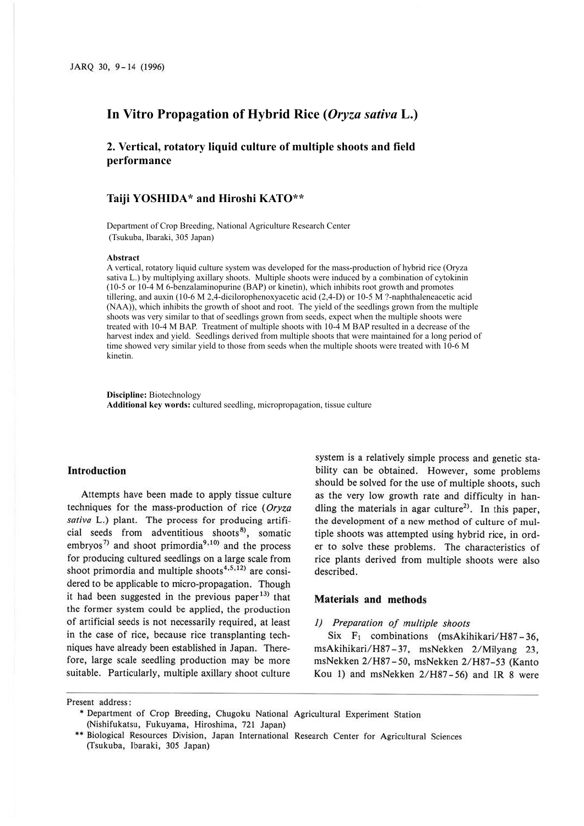## **In Vitro Propagation of Hybrid Rice (***Oryza sativa* **L.)**

**2. Vertical, rotatory liquid culture of multiple shoots and field performance**

# **Taiji YOSHIDA\* and Hiroshi KATO\*\***

Department of Crop Breeding, National Agriculture Research Center (Tsukuba, Ibaraki, 305 Japan)

#### **Abstract**

A vertical, rotatory liquid culture system was developed for the mass-production of hybrid rice (Oryza sativa L.) by multiplying axillary shoots. Multiple shoots were induced by a combination of cytokinin (10-5 or 10-4 M 6-benzalaminopurine (BAP) or kinetin), which inhibits root growth and promotes tillering, and auxin (10-6 M 2,4-dicilorophenoxyacetic acid (2,4-D) or 10-5 M ?-naphthaleneacetic acid (NAA)), which inhibits the growth of shoot and root. The yield of the seedlings grown from the multiple shoots was very similar to that of seedlings grown from seeds, expect when the multiple shoots were treated with 10-4 M BAP. Treatment of multiple shoots with 10-4 M BAP resulted in a decrease of the harvest index and yield. Seedlings derived from multiple shoots that were maintained for a long period of time showed very similar yield to those from seeds when the multiple shoots were treated with 10-6 M kinetin.

**Discipline:** Biotechnology **Additional key words:** cultured seedling, micropropagation, tissue culture

#### **Introduction**

Attempts have been made to apply tissue culture techniques for the mass-production of rice ( *Oryza saliva* L.) plant. The process for producing artificial seeds from adventitious shoots<sup>8</sup>, somatic embryos<sup>7)</sup> and shoot primordia<sup>9,10</sup> and the process for producing cultured seedlings on a large scale from shoot primordia and multiple shoots<sup>4,5,12)</sup> are considered to be applicable to micro-propagation. Though it had been suggested in the previous paper  $13$ <sup>13</sup> that the former system could be applied, the production of artificial seeds is not necessarily required, at least in the case of rice, because rice transplanting techniques have already been established in Japan. Therefore, large scale seedling production may be more suitable. Particularly, multiple axillary shoot culture

system is a relatively simple process and genetic stability can be obtained. However, some problems should be solved for the use of multiple shoots, such as the very low growth rate and difficulty in handling the materials in agar culture<sup>2)</sup>. In this paper, the development of a new method of culture of multiple shoots was attempted using hybrid rice, in order to solve these problems. The characteristics of rice plants derived from multiple shoots were also described.

### **Materials and methods**

#### *1) Preparation of multiple shoots*

Six  $F_1$  combinations (msAkihikari/H87-36, msAkihikari/H87 - 37, msNekken 2/Milyang 23, msNekken 2/H87 - 50, msNekken 2/H87-53 (Kanta Kou I) and msNekken 2/H87-56) and IR 8 were

Present address :

• Department of Crop Breeding, Chugoku National Agricultural Experiment Station (Nishifukatsu, Fukuyama, Hiroshima, 721 Japan)

<sup>\*\*</sup> Biological Resources Division, Japan International Research Center for Agricultural Sciences (Tsukuba, Ibaraki, 305 Japan)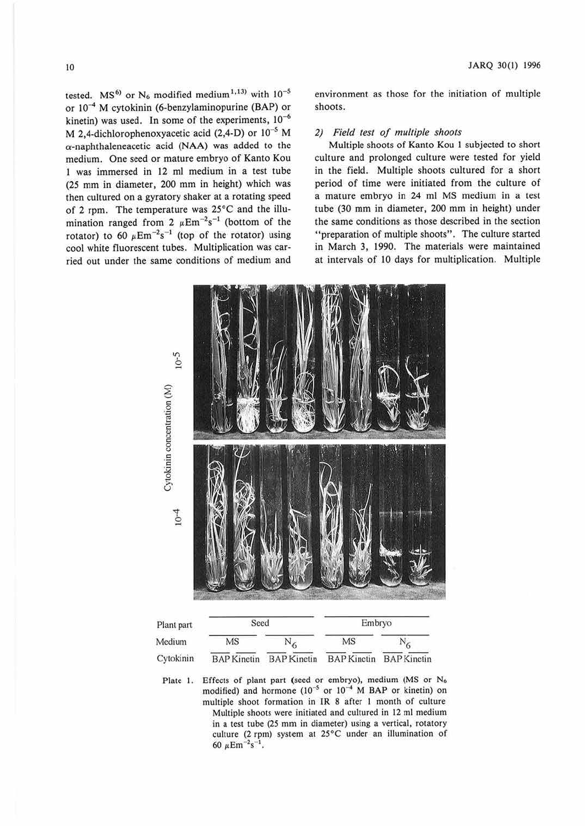tested. MS<sup>6</sup> or N<sub>6</sub> modified medium<sup>1,13</sup> with  $10^{-5}$ or  $10^{-4}$  M cytokinin (6-benzylaminopurine (BAP) or kinetin) was used. In some of the experiments,  $10^{-6}$ M 2,4-dichlorophenoxyacetic acid (2,4-D) or  $10^{-5}$  M a-naphthaleneacetic acid **(NAA)** was added to the medium. One seed or mature embryo of Kanto Kou 1 was immersed in 12 ml medium in a test tube (25 mm in diameter, 200 mm in height) which was then cultured on a gyratory shaker at a rotating speed of 2 rpm. The temperature was 25°C and the illumination ranged from 2  $\mu$ Em<sup>-2</sup>s<sup>-1</sup> (bottom of the rotator) to 60  $\mu$ Em<sup>-2</sup>s<sup>-1</sup> (top of the rotator) using cool white fluorescent tubes. Multiplication was carried out under the same conditions of medium and

environment as those for the initiation of multiple shoots.

#### *2) Field test of multiple shoots*

Multiple shoots of Kanto Kou 1 subjected to short culture and prolonged culture were tested for yield in the field. Multiple shoots cultured for a short period of time were initiated from the culture of a mature embryo in 24 ml MS medium in a test tube (30 mm in diameter, 200 mm in height) under the same conditions as those described in the section "preparation of multiple shoots''. The culture started in March 3, 1990. The materials were maintained at intervals of 10 days for multiplication. Multiple



| Plant part | Seed               |                    | Embryo                  |  |  |  |  |
|------------|--------------------|--------------------|-------------------------|--|--|--|--|
| Medium     | MS                 |                    | MS                      |  |  |  |  |
| Cytokinin  | <b>BAP</b> Kinetin | <b>BAP</b> Kinetin | BAP Kinetin BAP Kinetin |  |  |  |  |

Plate 1. Effects of plant part (seed or embryo), medium (MS or N<sub>6</sub> modified) and hormone  $(10^{-5}$  or  $10^{-4}$  M BAP or kinetin) on multiple shoot formation in JR 8 after I month of culture Multiple shoots were initiated and cultured in 12 ml medium in a test tube (25 mm in diameter) using a vertical, rotatory culture (2 rpm) system at 25°C under an illumination of 60  $\mu$ Em<sup>-2</sup>s<sup>-1</sup>.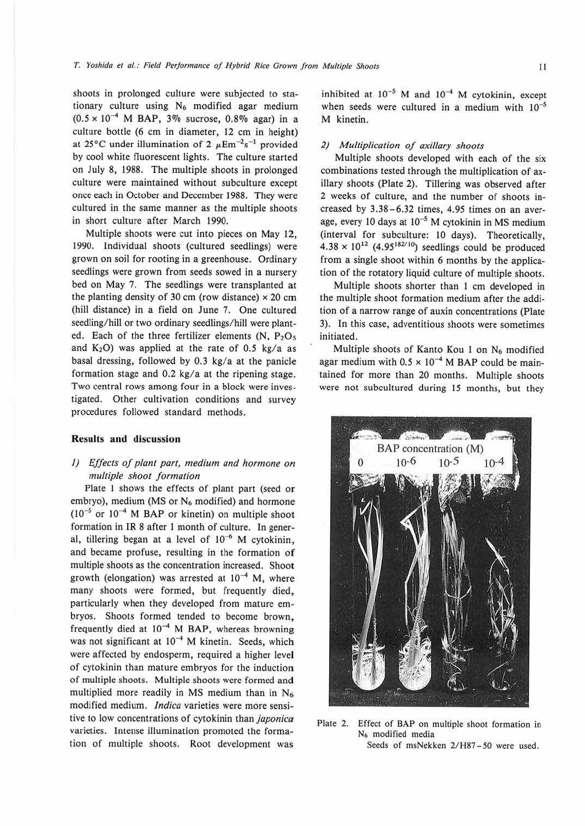shoots in prolonged culture were subjected to stationary culture using  $N_6$  modified agar medium  $(0.5 \times 10^{-4}$  M BAP, 3% sucrose, 0.8% agar) in a culture bottle (6 cm in diameter, 12 cm in height) at 25°C under illumination of 2  $\mu$ Em<sup>-2</sup>s<sup>-1</sup> provided by cool white fluorescent lights. The culture started on July 8, 1988. The multiple shoots in prolonged culture were maintained without subculture except once each in October and December 1988. They were cultured in the same manner as the multiple shoots in short culture after March 1990.

Multiple shoots were cut into pieces on May 12, 1990. Individual shoots (cultured seedlings) were grown on soil for rooting in a greenhouse. Ordinary seedlings were grown from seeds sowed in a nursery bed on May 7. The seedlings were transplanted at the planting density of 30 cm (row distance)  $\times$  20 cm (hill distance) in a field on June 7. One cultured seedling/hill or two ordinary seedlings/hill were planted. Each of the three fertilizer elements  $(N, P<sub>2</sub>O<sub>5</sub>)$ and  $K_2O$ ) was applied at the rate of 0.5 kg/a as basal dressing, followed by 0.3 kg/a at the panicle formation stage and 0.2 kg/a at the ripening stage. Two central rows among four in a block were investigated. Other cultivation conditions and survey procedures followed standard methods.

#### **Results and discussion**

### *I) Effects of plant part, medium and hormone on multiple shoot formation*

Plate 1 shows the effects of plant part (seed or embryo), medium (MS or  $N_6$  modified) and hormone  $(10^{-5}$  or  $10^{-4}$  M BAP or kinetin) on multiple shoot formation in IR 8 after I month of culture. In general, tillering began at a level of  $10^{-6}$  M cytokinin, and became profuse, resulting in the formation **of**  multiple shoots as the concentration increased. Shoot growth (elongation) was arrested at  $10^{-4}$  M, where many shoots were formed, but frequently died, particularly when they developed from mature embryos. Shoots formed tended to become brown, frequently died at 10-4 **M BAP,** whereas browning was not significant at  $10^{-4}$  M kinetin. Seeds, which were affected by endosperm, required a higher level of cytokinin than mature embryos for the induction of multiple shoots. Multiple shoots were formed and multiplied more readily in MS medium than in N6 modified medium. *lndica* varieties were more sensitive to low concentrations of cytokinin than *japonica*  varieties. Intense illumination promoted the formation of multiple shoots. Root development was

inhibited at  $10^{-5}$  M and  $10^{-4}$  M cytokinin, except when seeds were cultured in a medium with  $10^{-5}$ M kinetin.

#### *2) Multiplication of axillary shoots*

Multiple shoots developed with each of the six combinations tested through the multiplication of axillary shoots (Plate 2). Tillering was observed after 2 weeks of culture, and the number of shoots increased by 3.38-6.32 times, 4.95 times on an average, every 10 days at  $10^{-5}$  M cytokinin in MS medium (interval for subculture: 10 days). Theoretically,  $4.38 \times 10^{12}$  (4.95<sup>182/10</sup>) seedlings could be produced from a single shoot within 6 months by the application of the rotatory liquid culture of multiple shoots.

Multiple shoots shorter than I cm developed in the multiple shoot formation medium after the addition of a narrow range of auxin concentrations (Plate 3). In this case, adventitious shoots were sometimes initiated.

Multiple shoots of Kanto Kou 1 on N<sub>6</sub> modified agar medium with  $0.5 \times 10^{-4}$  M BAP could be maintained for more than 20 months. Multiple shoots were not subcultured during 15 months, but they



Plate 2. Effect of BAP on multiple shoot formation in N6 modified media Seeds of msNekken 2/H87-50 were used.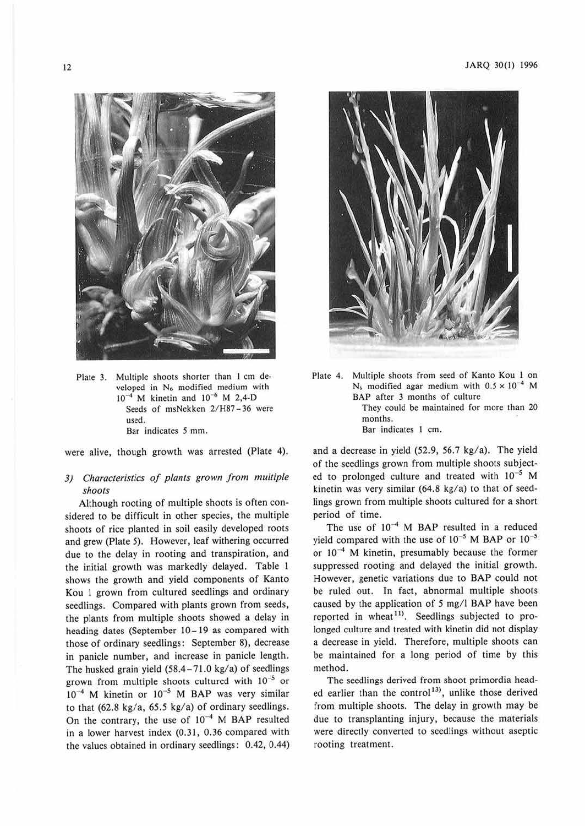

Plate 3. Multiple shoots shorter than 1 cm developed in N<sub>6</sub> modified medium with 10<sup>-4</sup> M kinetin and 10<sup>-6</sup> M 2,4-D Seeds of msNekken 2/H87-36 were used. Bar indicates *5* mm.

were alive, though growth was arrested (Plate 4).

## *3) Characteristics of plants grown from multiple shoots*

Although rooting of multiple shoots is often considered to be difficult in other species, the multiple shoots of rice planted in soil easily developed roots and grew (Plate 5). However, leaf withering occurred due to the delay in rooting and transpiration, and the initial growth was markedly delayed. Table I shows the growth and yield components of Kanto Kou l grown from cultured seedlings and ordinary seedlings. Compared with plants grown from seeds, the plants from multiple shoots showed a delay in heading dates (September 10-19 as compared with those of ordinary seedlings: September 8), decrease in panicle number, and increase in panicle length. The husked grain yield  $(58.4 - 71.0 \text{ kg/a})$  of seedlings grown from multiple shoots cultured with  $10^{-5}$  or  $10^{-4}$  M kinetin or  $10^{-5}$  M BAP was very similar to that  $(62.8 \text{ kg/a}, 65.5 \text{ kg/a})$  of ordinary seedlings. On the contrary, the use of  $10^{-4}$  M BAP resulted in a lower harvest index (0.31, 0.36 compared with the values obtained in ordinary seedlings: 0.42, 0.44)



Plate 4. Multiple shoots from seed of Kanto Kou 1 on  $N_6$  modified agar medium with  $0.5 \times 10^{-4}$  M BAP after 3 months of culture They could be maintained for more than 20 months. Bar indicates I cm.

and a decrease in yield (52.9, 56.7 kg/a). The yield of the seedlings grown from multiple shoots subjected to prolonged culture and treated with  $10^{-5}$  M kinetin was very similar (64.8 kg/a) to that of seedlings grown from multiple shoots cultured for a short period of time.

The use of  $10^{-4}$  M BAP resulted in a reduced yield compared with the use of  $10^{-5}$  M BAP or  $10^{-5}$ or  $10^{-4}$  M kinetin, presumably because the former suppressed rooting and delayed the initial growth. However, genetic variations due to BAP could not be ruled out. In fact, abnormal multiple shoots caused by the application of 5 mg/l BAP have been reported in wheat<sup>11</sup>. Seedlings subjected to prolonged culture and treated with kinetin did not display a decrease in yield. Therefore, multiple shoots can be maintained for a Jong period of time by this method.

The seedlings derived from shoot primordia headed earlier than the control<sup>13</sup>, unlike those derived from multiple shoots. The delay in growth may be due to transplanting injury, because the materials were directly converted to seedlings without aseptic rooting treatment.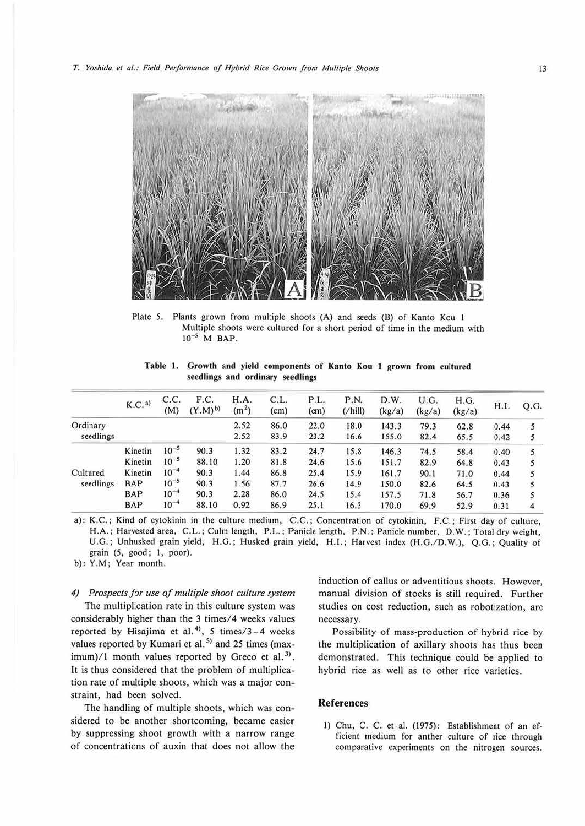

Plate 5. Plants grown from multiple shoots (A) and seeds (B) of Kanto Kou 1 Multiple shoots were cultured for a short period of time in the medium with  $10^{-5}$  M BAP.

|  |  |                                  | Table 1. Growth and yield components of Kanto Kou 1 grown from cultured |  |  |  |  |
|--|--|----------------------------------|-------------------------------------------------------------------------|--|--|--|--|
|  |  | seedlings and ordinary seedlings |                                                                         |  |  |  |  |

|                       | K.C. <sup>a</sup> | C.C.<br>(M) | F.C.<br>$(Y.M)^{b}$ | H.A.<br>(m <sup>2</sup> ) | C.L.<br>(cm) | P.L.<br>(c <sub>m</sub> ) | P.N.<br>$($ /hill $)$ | D.W.<br>(kg/a) | U.G.<br>(kg/a) | H.G.<br>(kg/a) | H.I. | Q.G. |
|-----------------------|-------------------|-------------|---------------------|---------------------------|--------------|---------------------------|-----------------------|----------------|----------------|----------------|------|------|
| Ordinary              |                   |             |                     | 2.52                      | 86.0         | 22.0                      | 18.0                  | 143.3          | 79.3           | 62.8           | 0.44 |      |
| seedlings             |                   |             |                     | 2.52                      | 83.9         | 23.2                      | 16.6                  | 155.0          | 82.4           | 65.5           | 0.42 |      |
| Cultured<br>seedlings | Kinetin           | $10^{-5}$   | 90.3                | 1.32                      | 83.2         | 24.7                      | 15.8                  | 146.3          | 74.5           | 58.4           | 0.40 | S    |
|                       | Kinetin           | $10^{-5}$   | 88.10               | 1.20                      | 81.8         | 24.6                      | 15.6                  | 151.7          | 82.9           | 64.8           | 0.43 |      |
|                       | Kinetin           | $10^{-4}$   | 90.3                | 1.44                      | 86.8         | 25.4                      | 15.9                  | 161.7          | 90.1           | 71.0           | 0.44 |      |
|                       | BAP               | $10^{-5}$   | 90.3                | 1.56                      | 87.7         | 26.6                      | 14.9                  | 150.0          | 82.6           | 64.5           | 0.43 |      |
|                       | BAP               | $10^{-4}$   | 90.3                | 2.28                      | 86.0         | 24.5                      | 15.4                  | 157.5          | 71.8           | 56.7           | 0.36 |      |
|                       | <b>BAP</b>        | $10^{-4}$   | 88.10               | 0.92                      | 86.9         | 25.1                      | 16.3                  | 170.0          | 69.9           | 52.9           | 0.31 | 4    |

a): K.C.; Kind of cytokinin in the culture medium, C.C.; Concentration of cytokinin, F.C.; First day of culture, **H.A.;** Harvested area, C.L.; Culm length, P.L.; Panicle length, P.N.; Panicle number, D. W. ; Total dry weight, U.G.; Unhusked grain yield, H.G.; Husked grain yield, H.J.; Harvest index (H.G./0.W.), Q.G. ; Quality of grain (5, good; 1, poor).

b): Y.M ; Year month.

*4) Prospects for use of multiple shoot culture system*  The multiplication rate in this culture system was considerably higher than the 3 times/4 weeks values reported by Hisajima et al. <sup>4</sup> >, *5* times/3-4 weeks values reported by Kumari et al.<sup>5)</sup> and 25 times (maximum)/1 month values reported by Greco et al.<sup>3)</sup>. It is thus considered that the problem of multiplication rate of multiple shoots, which was a major constraint, had been solved.

The handling of multiple shoots, which was considered to be another shortcoming, became easier by suppressing shoot growth with a narrow range of concentrations of auxin that does not allow the

induction of callus or adventitious shoots. However, manual division of stocks is still required. Further studies on cost reduction, such as robotization, are necessary.

Possibility of mass-production of hybrid rice by the multiplication of axillary shoots has thus been demonstrated. This technique could be applied to hybrid rice as well as to other rice varieties.

#### **References**

1) Chu, C. C. et al. (1975): Establishment of an efficient medium for anther culture of rice through comparative experiments on the nitrogen sources.